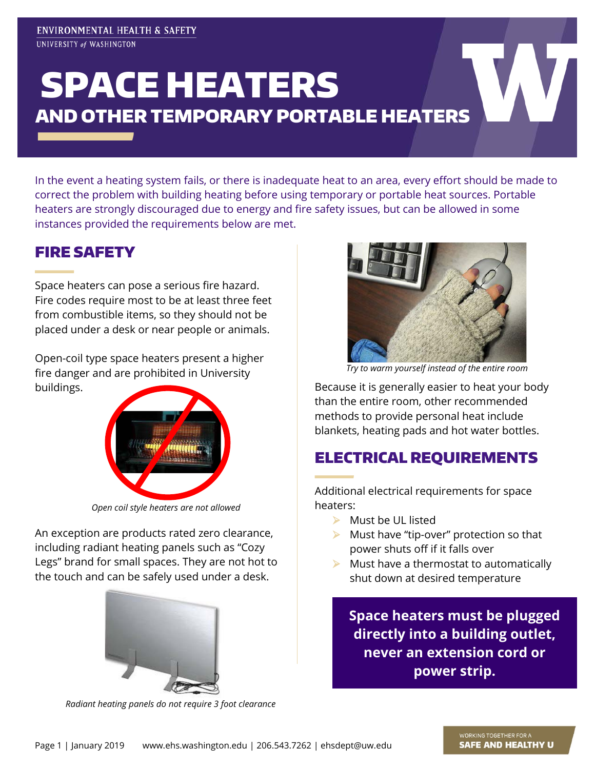# SPACE HEATERS AND OTHER TEMPORARY PORTABLE HEATERS

In the event a heating system fails, or there is inadequate heat to an area, every effort should be made to correct the problem with building heating before using temporary or portable heat sources. Portable heaters are strongly discouraged due to energy and fire safety issues, but can be allowed in some instances provided the requirements below are met.

### FIRE SAFETY

Space heaters can pose a serious fire hazard. Fire codes require most to be at least three feet from combustible items, so they should not be placed under a desk or near people or animals.

Open-coil type space heaters present a higher fire danger and are prohibited in University buildings.



*Open coil style heaters are not allowed*

An exception are products rated zero clearance, including radiant heating panels such as "Cozy Legs" brand for small spaces. They are not hot to the touch and can be safely used under a desk.



*Radiant heating panels do not require 3 foot clearance*



*Try to warm yourself instead of the entire room*

Because it is generally easier to heat your body than the entire room, other recommended methods to provide personal heat include blankets, heating pads and hot water bottles.

#### ELECTRICAL REQUIREMENTS

Additional electrical requirements for space heaters:

- $\triangleright$  Must be UL listed
- $\blacktriangleright$  Must have "tip-over" protection so that power shuts off if it falls over
- $\blacktriangleright$  Must have a thermostat to automatically shut down at desired temperature

**Space heaters must be plugged directly into a building outlet, never an extension cord or power strip.**